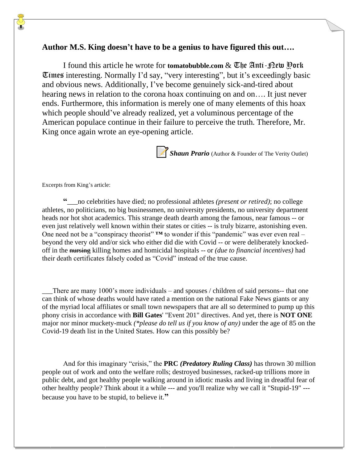# **Author M.S. King doesn't have to be a genius to have figured this out….**

I found this article he wrote for **tomatobubble.com** & *Uhe* Anti-plew Pork Times interesting. Normally I'd say, "very interesting", but it's exceedingly basic and obvious news. Additionally, I've become genuinely sick-and-tired about hearing news in relation to the corona hoax continuing on and on…. It just never ends. Furthermore, this information is merely one of many elements of this hoax which people should've already realized, yet a voluminous percentage of the American populace continue in their failure to perceive the truth. Therefore, Mr. King once again wrote an eye-opening article.



**Shaun Prario** (Author & Founder of The Verity Outlet)

Excerpts from King's article:

**"**\_\_\_no celebrities have died; no professional athletes *(present or retired)*; no college athletes, no politicians, no big businessmen, no university presidents, no university department heads nor hot shot academics. This strange death dearth among the famous, near famous -- or even just relatively well known within their states or cities -- is truly bizarre, astonishing even. One need not be a "conspiracy theorist" **™** to wonder if this "pandemic" was ever even real – beyond the very old and/or sick who either did die with Covid -- or were deliberately knockedoff in the nursing killing homes and homicidal hospitals -- or *(due to financial incentives)* had their death certificates falsely coded as "Covid" instead of the true cause.

There are many 1000's more individuals – and spouses / children of said persons-- that one can think of whose deaths would have rated a mention on the national Fake News giants or any of the myriad local affiliates or small town newspapers that are all so determined to pump up this phony crisis in accordance with **Bill Gates**' "Event 201" directives. And yet, there is **NOT ONE** major nor minor muckety-muck *(\*please do tell us if you know of any)* under the age of 85 on the Covid-19 death list in the United States. How can this possibly be?

And for this imaginary "crisis," the **PRC** *(Predatory Ruling Class)* has thrown 30 million people out of work and onto the welfare rolls; destroyed businesses, racked-up trillions more in public debt, and got healthy people walking around in idiotic masks and living in dreadful fear of other healthy people? Think about it a while --- and you'll realize why we call it "Stupid-19" -- because you have to be stupid, to believe it.**"**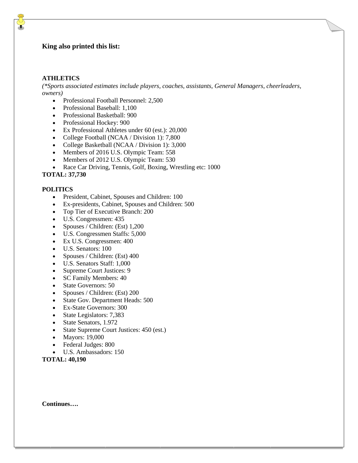### **King also printed this list:**

### **ATHLETICS**

*(\*Sports associated estimates include players, coaches, assistants, General Managers, cheerleaders, owners)* 

- Professional Football Personnel: 2,500
- Professional Baseball: 1,100
- Professional Basketball: 900
- Professional Hockey: 900
- Ex Professional Athletes under 60 (est.): 20,000
- College Football (NCAA / Division 1): 7,800
- College Basketball (NCAA / Division 1): 3,000
- Members of 2016 U.S. Olympic Team: 558
- Members of 2012 U.S. Olympic Team: 530
- Race Car Driving, Tennis, Golf, Boxing, Wrestling etc: 1000

**TOTAL: 37,730**

### **POLITICS**

- President, Cabinet, Spouses and Children: 100
- Ex-presidents, Cabinet, Spouses and Children: 500
- Top Tier of Executive Branch: 200
- U.S. Congressmen: 435
- Spouses / Children: (Est) 1,200
- U.S. Congressmen Staffs: 5,000
- Ex U.S. Congressmen: 400
- U.S. Senators: 100
- Spouses / Children: (Est) 400
- U.S. Senators Staff: 1,000
- Supreme Court Justices: 9
- SC Family Members: 40
- State Governors: 50
- Spouses / Children: (Est) 200
- State Gov. Department Heads: 500
- Ex-State Governors: 300
- State Legislators: 7,383
- State Senators, 1.972
- State Supreme Court Justices: 450 (est.)
- Mayors: 19,000
- Federal Judges: 800
- U.S. Ambassadors: 150

**TOTAL: 40,190**

**Continues….**